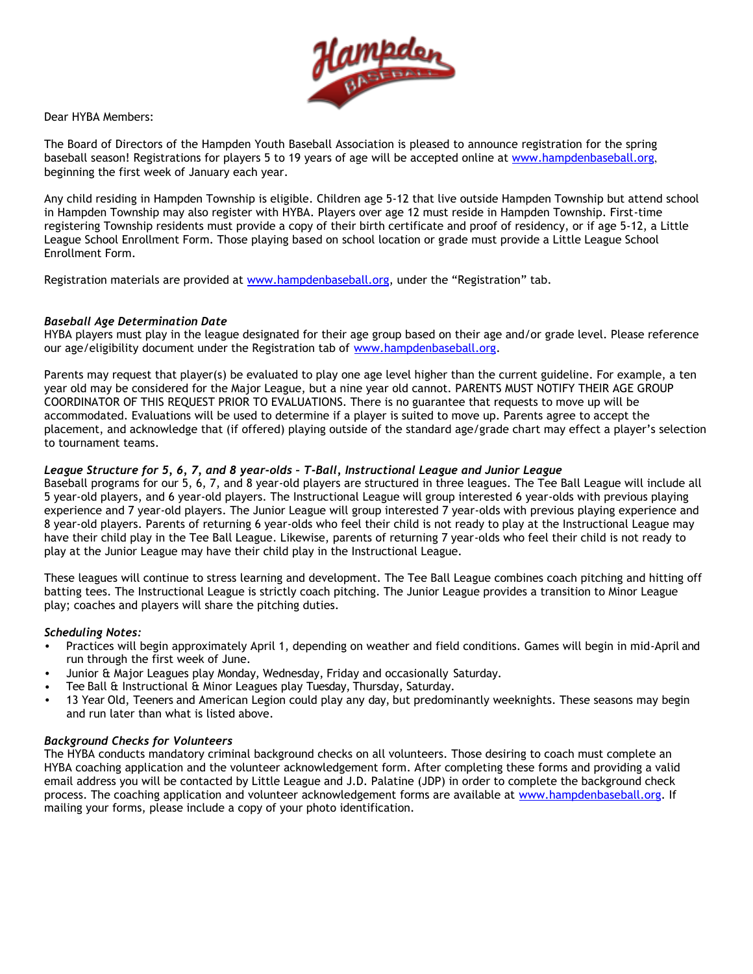

Dear HYBA Members:

The Board of Directors of the Hampden Youth Baseball Association is pleased to announce registration for the spring baseball season! Registrations for players 5 to 19 years of age will be accepted online at [www.hampdenbaseball.org](http://www.hampdenbaseball.org/), beginning the first week of January each year.

Any child residing in Hampden Township is eligible. Children age 5-12 that live outside Hampden Township but attend school in Hampden Township may also register with HYBA. Players over age 12 must reside in Hampden Township. First-time registering Township residents must provide a copy of their birth certificate and proof of residency, or if age 5-12, a Little League School Enrollment Form. Those playing based on school location or grade must provide a Little League School Enrollment Form.

Registration materials are provided at [www.hampdenbaseball.org,](http://www.hampdenbaseball.org/) under the "Registration" tab.

### *Baseball Age Determination Date*

HYBA players must play in the league designated for their age group based on their age and/or grade level. Please reference our age/eligibility document under the Registration tab of www.hampdenbaseball.[org.](http://www.hampdenbaseball.org/)

Parents may request that player(s) be evaluated to play one age level higher than the current guideline. For example, a ten year old may be considered for the Major League, but a nine year old cannot. PARENTS MUST NOTIFY THEIR AGE GROUP COORDINATOR OF THIS REQUEST PRIOR TO EVALUATIONS. There is no guarantee that requests to move up will be accommodated. Evaluations will be used to determine if a player is suited to move up. Parents agree to accept the placement, and acknowledge that (if offered) playing outside of the standard age/grade chart may effect a player's selection to tournament teams.

### *League Structure for 5, 6, 7, and 8 year-olds – T-Ball, Instructional League and Junior League*

Baseball programs for our 5, 6, 7, and 8 year-old players are structured in three leagues. The Tee Ball League will include all 5 year-old players, and 6 year-old players. The Instructional League will group interested 6 year-olds with previous playing experience and 7 year-old players. The Junior League will group interested 7 year-olds with previous playing experience and 8 year-old players. Parents of returning 6 year-olds who feel their child is not ready to play at the Instructional League may have their child play in the Tee Ball League. Likewise, parents of returning 7 year-olds who feel their child is not ready to play at the Junior League may have their child play in the Instructional League.

These leagues will continue to stress learning and development. The Tee Ball League combines coach pitching and hitting off batting tees. The Instructional League is strictly coach pitching. The Junior League provides a transition to Minor League play; coaches and players will share the pitching duties.

#### *Scheduling Notes:*

- Practices will begin approximately April 1, depending on weather and field conditions. Games will begin in mid-April and run through the first week of June.
- Junior & Major Leagues play Monday, Wednesday, Friday and occasionally Saturday.
- Tee Ball & Instructional & Minor Leagues play Tuesday, Thursday, Saturday.
- 13 Year Old, Teeners and American Legion could play any day, but predominantly weeknights. These seasons may begin and run later than what is listed above.

### *Background Checks for Volunteers*

The HYBA conducts mandatory criminal background checks on all volunteers. Those desiring to coach must complete an HYBA coaching application and the volunteer acknowledgement form. After completing these forms and providing a valid email address you will be contacted by Little League and J.D. Palatine (JDP) in order to complete the background check process. The coaching application and volunteer acknowledgement forms are a[vailable at www.hampdenbase](http://www.hampdenbaseball.org/)ball.org. If mailing your forms, please include a copy of your photo identification.